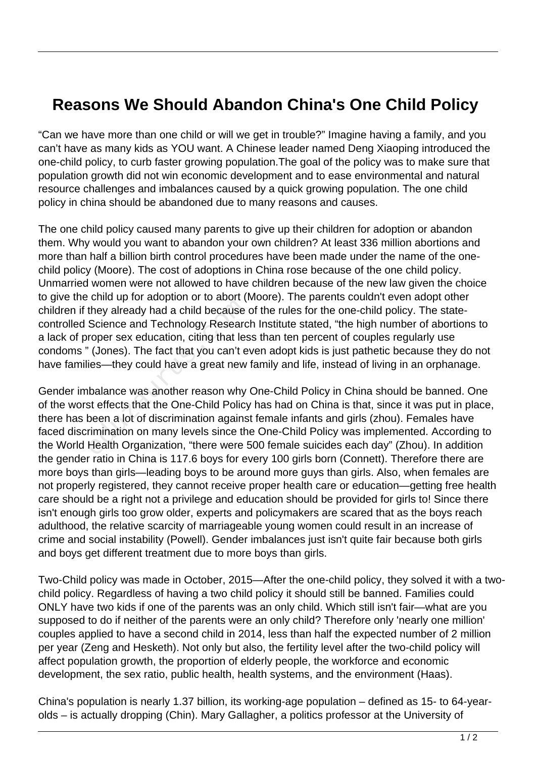## **Reasons We Should Abandon China's One Child Policy**

"Can we have more than one child or will we get in trouble?" Imagine having a family, and you can't have as many kids as YOU want. A Chinese leader named Deng Xiaoping introduced the one-child policy, to curb faster growing population.The goal of the policy was to make sure that population growth did not win economic development and to ease environmental and natural resource challenges and imbalances caused by a quick growing population. The one child policy in china should be abandoned due to many reasons and causes.

The one child policy caused many parents to give up their children for adoption or abandon them. Why would you want to abandon your own children? At least 336 million abortions and more than half a billion birth control procedures have been made under the name of the onechild policy (Moore). The cost of adoptions in China rose because of the one child policy. Unmarried women were not allowed to have children because of the new law given the choice to give the child up for adoption or to abort (Moore). The parents couldn't even adopt other children if they already had a child because of the rules for the one-child policy. The statecontrolled Science and Technology Research Institute stated, "the high number of abortions to a lack of proper sex education, citing that less than ten percent of couples regularly use condoms " (Jones). The fact that you can't even adopt kids is just pathetic because they do not have families—they could have a great new family and life, instead of living in an orphanage.

Gender imbalance was another reason why One-Child Policy in China should be banned. One of the worst effects that the One-Child Policy has had on China is that, since it was put in place, there has been a lot of discrimination against female infants and girls (zhou). Females have faced discrimination on many levels since the One-Child Policy was implemented. According to the World Health Organization, "there were 500 female suicides each day" (Zhou). In addition the gender ratio in China is 117.6 boys for every 100 girls born (Connett). Therefore there are more boys than girls—leading boys to be around more guys than girls. Also, when females are not properly registered, they cannot receive proper health care or education—getting free health care should be a right not a privilege and education should be provided for girls to! Since there isn't enough girls too grow older, experts and policymakers are scared that as the boys reach adulthood, the relative scarcity of marriageable young women could result in an increase of crime and social instability (Powell). Gender imbalances just isn't quite fair because both girls and boys get different treatment due to more boys than girls. they already had a child because<br>Science and Technology Researc<br>roper sex education, citing that les<br>(Jones). The fact that you can't e<br>ies—they could have a great new<br>balance was another reason why<br>st effects that the One

Two-Child policy was made in October, 2015—After the one-child policy, they solved it with a twochild policy. Regardless of having a two child policy it should still be banned. Families could ONLY have two kids if one of the parents was an only child. Which still isn't fair—what are you supposed to do if neither of the parents were an only child? Therefore only 'nearly one million' couples applied to have a second child in 2014, less than half the expected number of 2 million per year (Zeng and Hesketh). Not only but also, the fertility level after the two-child policy will affect population growth, the proportion of elderly people, the workforce and economic development, the sex ratio, public health, health systems, and the environment (Haas).

China's population is nearly 1.37 billion, its working-age population – defined as 15- to 64-yearolds – is actually dropping (Chin). Mary Gallagher, a politics professor at the University of